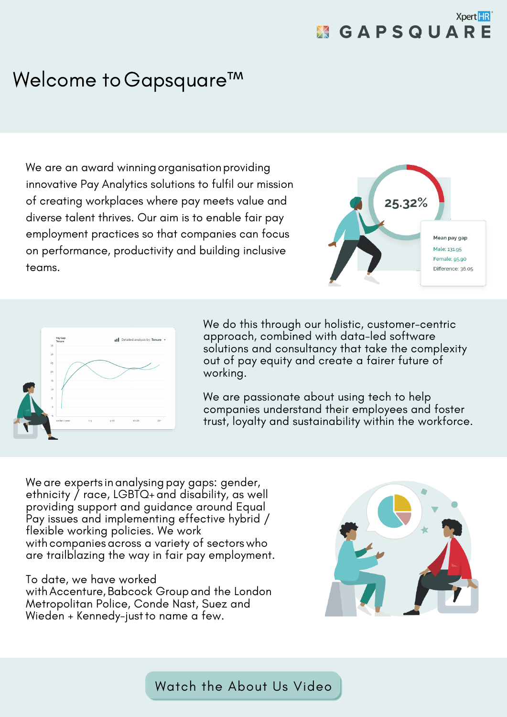### **Xpert HR X GAPSQUARE**

## Welcome to Gapsquare™

We are an award winning organisation providing innovative Pay Analytics solutions to fulfil our mission of creating workplaces where pay meets value and diverse talent thrives. Our aim is to enable fair pay employment practices so that companies can focus on performance, productivity and building inclusive teams.





We do this through our holistic, customer-centric approach, combined with data-led software solutions and consultancy that take the complexity out of pay equity and create a fairer future of working.

We are passionate about using tech to help companies understand their employees and foster trust, loyalty and sustainability within the workforce.

We are experts in analysing pay gaps: gender, ethnicity / race, LGBTQ+ and disability, as well providing support and guidance around Equal Pay issues and implementing effective hybrid / flexible working policies. We work with companies across a variety of sectors who are trailblazing the way in fair pay employment.

#### To date, we have worked

with Accenture, Babcock Group and the London Metropolitan Police, Conde Nast, Suez and Wieden + Kennedy-justto name a few.



Watch the [About](https://www.youtube.com/watch?v=nReFMGRDivs) Us Video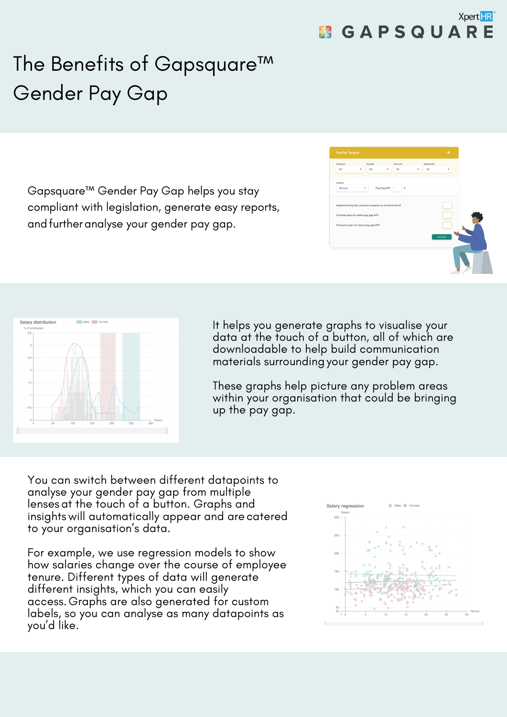# The Benefits of Gapsquare™ Gender Pay Gap

Gapsquare™ Gender Pay Gap helps you stay compliant with legislation, generate easy reports, andfurtheranalyse your gender pay gap.

| Company                             | Quartile                                              | Job Level | Department |           |  |
|-------------------------------------|-------------------------------------------------------|-----------|------------|-----------|--|
| All                                 | All<br>٠                                              | All<br>٠  | All        | ٠         |  |
| Variable                            |                                                       |           |            |           |  |
| Women                               | Pay Gap KPI<br>۰                                      | $\%$      |            |           |  |
|                                     |                                                       |           |            |           |  |
|                                     | Implementing this scenario requires an investment of: |           |            |           |  |
| Current years to reach pay gap KPI: |                                                       |           |            |           |  |
|                                     | Scenario years to reach pay gap KPI:                  |           |            |           |  |
|                                     |                                                       |           |            |           |  |
|                                     |                                                       |           |            | Save KPis |  |
|                                     |                                                       |           |            |           |  |
|                                     |                                                       |           |            |           |  |
|                                     |                                                       |           |            |           |  |



It helps you generate graphs to visualise your data at the touch of a button, all of which are downloadable to help build communication materials surrounding your gender pay gap.

These graphs help picture any problem areas within your organisation that could be bringing up the pay gap.

You can switch between different datapoints to analyse your gender pay gap from multiple lenses at the touch of a button. Graphs and insights will automatically appear and are catered to your organisation's data.

For example, we use regression models to show how salaries change over the course of employee tenure. Different types of data will generate different insights, which you can easily access.Graphs are also generated for custom labels, so you can analyse as many datapoints as you'd like.